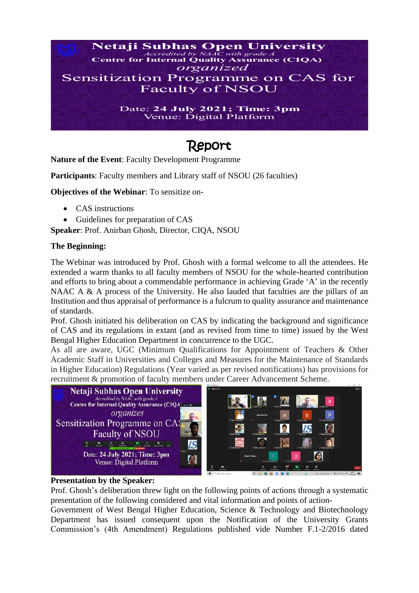

# Report

**Nature of the Event**: Faculty Development Programme

**Participants:** Faculty members and Library staff of NSOU (26 faculties)

**Objectives of the Webinar**: To sensitize on-

- CAS instructions
- Guidelines for preparation of CAS

**Speaker**: Prof. Anirban Ghosh, Director, CIQA, NSOU

#### **The Beginning:**

The Webinar was introduced by Prof. Ghosh with a formal welcome to all the attendees. He extended a warm thanks to all faculty members of NSOU for the whole-hearted contribution and efforts to bring about a commendable performance in achieving Grade 'A' in the recently NAAC A & A process of the University. He also lauded that faculties are the pillars of an Institution and thus appraisal of performance is a fulcrum to quality assurance and maintenance of standards.

Prof. Ghosh initiated his deliberation on CAS by indicating the background and significance of CAS and its regulations in extant (and as revised from time to time) issued by the West Bengal Higher Education Department in concurrence to the UGC.

As all are aware, UGC (Minimum Qualifications for Appointment of Teachers & Other Academic Staff in Universities and Colleges and Measures for the Maintenance of Standards in Higher Education) Regulations (Year varied as per revised notifications) has provisions for recruitment & promotion of faculty members under Career Advancement Scheme.



#### **Presentation by the Speaker:**

Prof. Ghosh's deliberation threw light on the following points of actions through a systematic presentation of the following considered and vital information and points of action-

Government of West Bengal Higher Education, Science & Technology and Biotechnology Department has issued consequent upon the Notification of the University Grants Commission's (4th Amendment) Regulations published vide Number F.1-2/2016 dated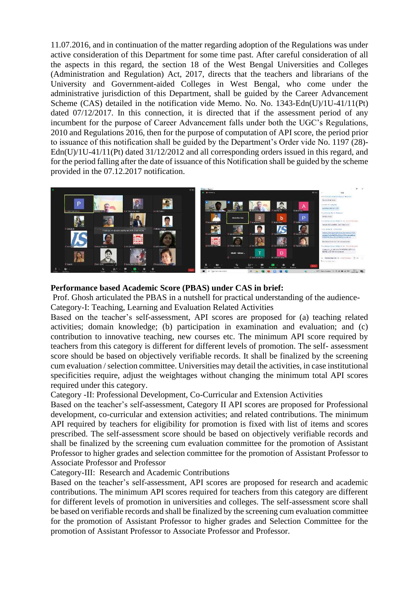11.07.2016, and in continuation of the matter regarding adoption of the Regulations was under active consideration of this Department for some time past. After careful consideration of all the aspects in this regard, the section 18 of the West Bengal Universities and Colleges (Administration and Regulation) Act, 2017, directs that the teachers and librarians of the University and Government-aided Colleges in West Bengal, who come under the administrative jurisdiction of this Department, shall be guided by the Career Advancement Scheme (CAS) detailed in the notification vide Memo. No. No. 1343-Edn(U)/1U-41/11(Pt) dated 07/12/2017. In this connection, it is directed that if the assessment period of any incumbent for the purpose of Career Advancement falls under both the UGC's Regulations, 2010 and Regulations 2016, then for the purpose of computation of API score, the period prior to issuance of this notification shall be guided by the Department's Order vide No. 1197 (28)-Edn(U)/1U-41/11(Pt) dated  $31/12/2012$  and all corresponding orders issued in this regard, and for the period falling after the date of issuance of this Notification shall be guided by the scheme provided in the 07.12.2017 notification.



### **Performance based Academic Score (PBAS) under CAS in brief:**

Prof. Ghosh articulated the PBAS in a nutshell for practical understanding of the audience-

Category-I: Teaching, Learning and Evaluation Related Activities

Based on the teacher's self-assessment, API scores are proposed for (a) teaching related activities; domain knowledge; (b) participation in examination and evaluation; and (c) contribution to innovative teaching, new courses etc. The minimum API score required by teachers from this category is different for different levels of promotion. The self- assessment score should be based on objectively verifiable records. It shall be finalized by the screening cum evaluation / selection committee. Universities may detail the activities, in case institutional specificities require, adjust the weightages without changing the minimum total API scores required under this category.

Category -II: Professional Development, Co-Curricular and Extension Activities

Based on the teacher's self-assessment, Category II API scores are proposed for Professional development, co-curricular and extension activities; and related contributions. The minimum API required by teachers for eligibility for promotion is fixed with list of items and scores prescribed. The self-assessment score should be based on objectively verifiable records and shall be finalized by the screening cum evaluation committee for the promotion of Assistant Professor to higher grades and selection committee for the promotion of Assistant Professor to Associate Professor and Professor

Category-III: Research and Academic Contributions

Based on the teacher's self-assessment, API scores are proposed for research and academic contributions. The minimum API scores required for teachers from this category are different for different levels of promotion in universities and colleges. The self-assessment score shall be based on verifiable records and shall be finalized by the screening cum evaluation committee for the promotion of Assistant Professor to higher grades and Selection Committee for the promotion of Assistant Professor to Associate Professor and Professor.